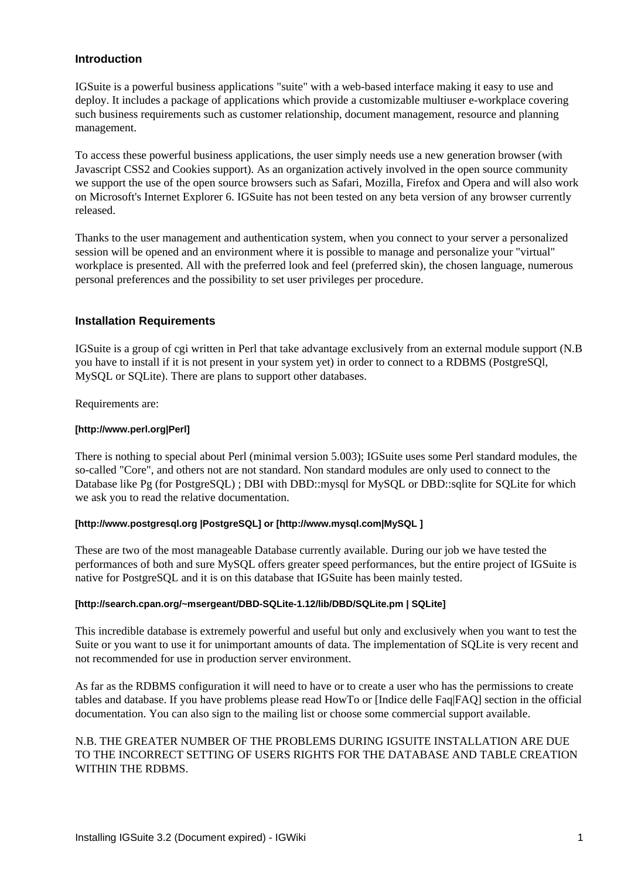# **Introduction**

IGSuite is a powerful business applications "suite" with a web-based interface making it easy to use and deploy. It includes a package of applications which provide a customizable multiuser e-workplace covering such business requirements such as customer relationship, document management, resource and planning management.

To access these powerful business applications, the user simply needs use a new generation browser (with Javascript CSS2 and Cookies support). As an organization actively involved in the open source community we support the use of the open source browsers such as Safari, Mozilla, Firefox and Opera and will also work on Microsoft's Internet Explorer 6. IGSuite has not been tested on any beta version of any browser currently released.

Thanks to the user management and authentication system, when you connect to your server a personalized session will be opened and an environment where it is possible to manage and personalize your "virtual" workplace is presented. All with the preferred look and feel (preferred skin), the chosen language, numerous personal preferences and the possibility to set user privileges per procedure.

## **Installation Requirements**

IGSuite is a group of cgi written in Perl that take advantage exclusively from an external module support (N.B you have to install if it is not present in your system yet) in order to connect to a RDBMS (PostgreSQl, MySQL or SQLite). There are plans to support other databases.

Requirements are:

### **[http://www.perl.org|Perl]**

There is nothing to special about Perl (minimal version 5.003); IGSuite uses some Perl standard modules, the so-called "Core", and others not are not standard. Non standard modules are only used to connect to the Database like Pg (for PostgreSQL); DBI with DBD::mysql for MySQL or DBD::sqlite for SQLite for which we ask you to read the relative documentation.

#### **[http://www.postgresql.org |PostgreSQL] or [http://www.mysql.com|MySQL ]**

These are two of the most manageable Database currently available. During our job we have tested the performances of both and sure MySQL offers greater speed performances, but the entire project of IGSuite is native for PostgreSQL and it is on this database that IGSuite has been mainly tested.

### **[http://search.cpan.org/~msergeant/DBD-SQLite-1.12/lib/DBD/SQLite.pm | SQLite]**

This incredible database is extremely powerful and useful but only and exclusively when you want to test the Suite or you want to use it for unimportant amounts of data. The implementation of SQLite is very recent and not recommended for use in production server environment.

As far as the RDBMS configuration it will need to have or to create a user who has the permissions to create tables and database. If you have problems please read HowTo or [Indice delle Faq|FAQ] section in the official documentation. You can also sign to the mailing list or choose some commercial support available.

## N.B. THE GREATER NUMBER OF THE PROBLEMS DURING IGSUITE INSTALLATION ARE DUE TO THE INCORRECT SETTING OF USERS RIGHTS FOR THE DATABASE AND TABLE CREATION WITHIN THE RDBMS.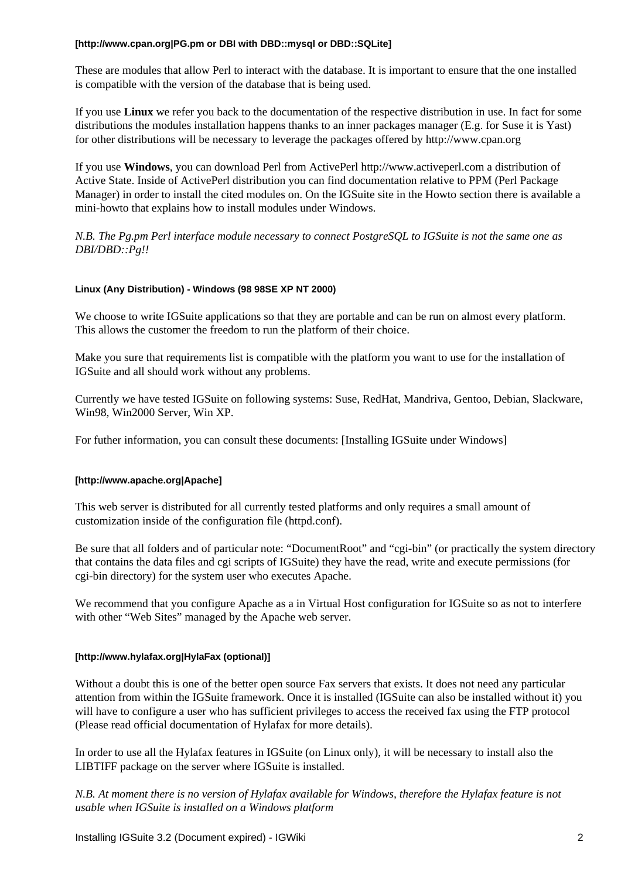#### **[http://www.cpan.org|PG.pm or DBI with DBD::mysql or DBD::SQLite]**

These are modules that allow Perl to interact with the database. It is important to ensure that the one installed is compatible with the version of the database that is being used.

If you use **Linux** we refer you back to the documentation of the respective distribution in use. In fact for some distributions the modules installation happens thanks to an inner packages manager (E.g. for Suse it is Yast) for other distributions will be necessary to leverage the packages offered by http://www.cpan.org

If you use **Windows**, you can download Perl from ActivePerl http://www.activeperl.com a distribution of Active State. Inside of ActivePerl distribution you can find documentation relative to PPM (Perl Package Manager) in order to install the cited modules on. On the IGSuite site in the Howto section there is available a mini-howto that explains how to install modules under Windows.

*N.B. The Pg.pm Perl interface module necessary to connect PostgreSQL to IGSuite is not the same one as DBI/DBD::Pg!!*

### **Linux (Any Distribution) - Windows (98 98SE XP NT 2000)**

We choose to write IGSuite applications so that they are portable and can be run on almost every platform. This allows the customer the freedom to run the platform of their choice.

Make you sure that requirements list is compatible with the platform you want to use for the installation of IGSuite and all should work without any problems.

Currently we have tested IGSuite on following systems: Suse, RedHat, Mandriva, Gentoo, Debian, Slackware, Win98, Win2000 Server, Win XP.

For futher information, you can consult these documents: [Installing IGSuite under Windows]

### **[http://www.apache.org|Apache]**

This web server is distributed for all currently tested platforms and only requires a small amount of customization inside of the configuration file (httpd.conf).

Be sure that all folders and of particular note: "DocumentRoot" and "cgi-bin" (or practically the system directory that contains the data files and cgi scripts of IGSuite) they have the read, write and execute permissions (for cgi-bin directory) for the system user who executes Apache.

We recommend that you configure Apache as a in Virtual Host configuration for IGSuite so as not to interfere with other "Web Sites" managed by the Apache web server.

#### **[http://www.hylafax.org|HylaFax (optional)]**

Without a doubt this is one of the better open source Fax servers that exists. It does not need any particular attention from within the IGSuite framework. Once it is installed (IGSuite can also be installed without it) you will have to configure a user who has sufficient privileges to access the received fax using the FTP protocol (Please read official documentation of Hylafax for more details).

In order to use all the Hylafax features in IGSuite (on Linux only), it will be necessary to install also the LIBTIFF package on the server where IGSuite is installed.

*N.B. At moment there is no version of Hylafax available for Windows, therefore the Hylafax feature is not usable when IGSuite is installed on a Windows platform*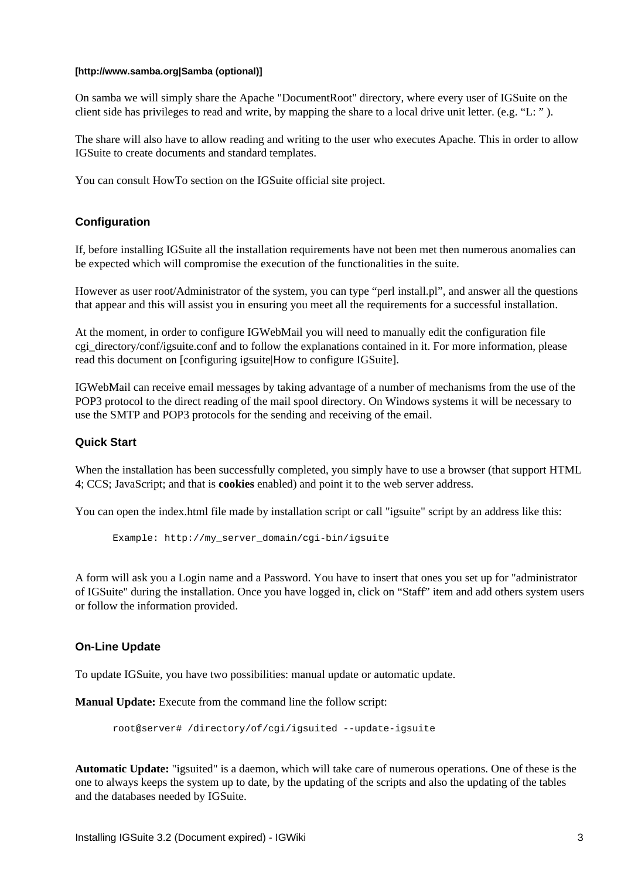#### **[http://www.samba.org|Samba (optional)]**

On samba we will simply share the Apache "DocumentRoot" directory, where every user of IGSuite on the client side has privileges to read and write, by mapping the share to a local drive unit letter. (e.g. "L: " ).

The share will also have to allow reading and writing to the user who executes Apache. This in order to allow IGSuite to create documents and standard templates.

You can consult HowTo section on the IGSuite official site project.

# **Configuration**

If, before installing IGSuite all the installation requirements have not been met then numerous anomalies can be expected which will compromise the execution of the functionalities in the suite.

However as user root/Administrator of the system, you can type "perl install.pl", and answer all the questions that appear and this will assist you in ensuring you meet all the requirements for a successful installation.

At the moment, in order to configure IGWebMail you will need to manually edit the configuration file cgi\_directory/conf/igsuite.conf and to follow the explanations contained in it. For more information, please read this document on [configuring igsuite|How to configure IGSuite].

IGWebMail can receive email messages by taking advantage of a number of mechanisms from the use of the POP3 protocol to the direct reading of the mail spool directory. On Windows systems it will be necessary to use the SMTP and POP3 protocols for the sending and receiving of the email.

### **Quick Start**

When the installation has been successfully completed, you simply have to use a browser (that support HTML 4; CCS; JavaScript; and that is **cookies** enabled) and point it to the web server address.

You can open the index.html file made by installation script or call "igsuite" script by an address like this:

Example: http://my\_server\_domain/cgi-bin/igsuite

A form will ask you a Login name and a Password. You have to insert that ones you set up for "administrator of IGSuite" during the installation. Once you have logged in, click on "Staff" item and add others system users or follow the information provided.

### **On-Line Update**

To update IGSuite, you have two possibilities: manual update or automatic update.

**Manual Update:** Execute from the command line the follow script:

root@server# /directory/of/cgi/igsuited --update-igsuite

**Automatic Update:** "igsuited" is a daemon, which will take care of numerous operations. One of these is the one to always keeps the system up to date, by the updating of the scripts and also the updating of the tables and the databases needed by IGSuite.